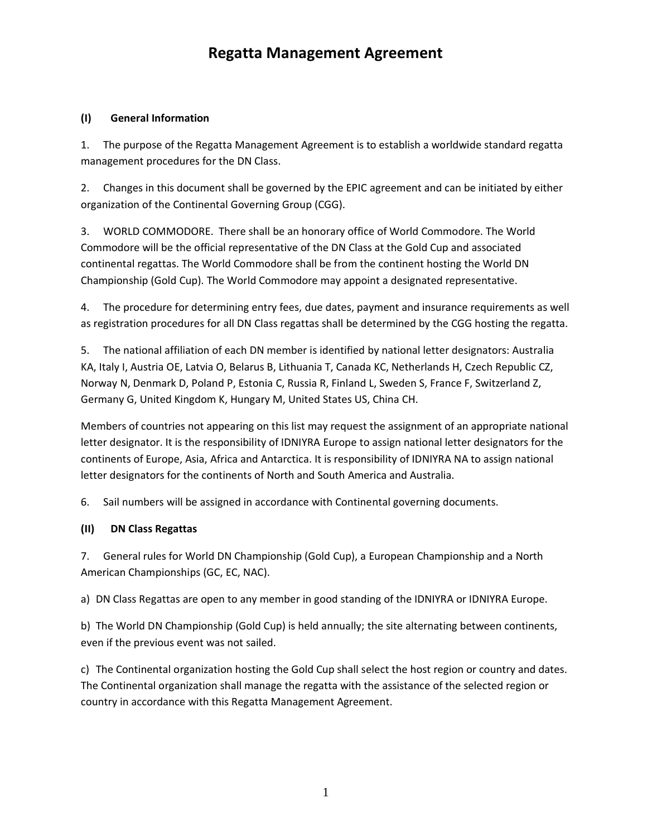# **Regatta Management Agreement**

## **(I) General Information**

1. The purpose of the Regatta Management Agreement is to establish a worldwide standard regatta management procedures for the DN Class.

2. Changes in this document shall be governed by the EPIC agreement and can be initiated by either organization of the Continental Governing Group (CGG).

3. WORLD COMMODORE. There shall be an honorary office of World Commodore. The World Commodore will be the official representative of the DN Class at the Gold Cup and associated continental regattas. The World Commodore shall be from the continent hosting the World DN Championship (Gold Cup). The World Commodore may appoint a designated representative.

4. The procedure for determining entry fees, due dates, payment and insurance requirements as well as registration procedures for all DN Class regattas shall be determined by the CGG hosting the regatta.

5. The national affiliation of each DN member is identified by national letter designators: Australia KA, Italy I, Austria OE, Latvia O, Belarus B, Lithuania T, Canada KC, Netherlands H, Czech Republic CZ, Norway N, Denmark D, Poland P, Estonia C, Russia R, Finland L, Sweden S, France F, Switzerland Z, Germany G, United Kingdom K, Hungary M, United States US, China CH.

Members of countries not appearing on this list may request the assignment of an appropriate national letter designator. It is the responsibility of IDNIYRA Europe to assign national letter designators for the continents of Europe, Asia, Africa and Antarctica. It is responsibility of IDNIYRA NA to assign national letter designators for the continents of North and South America and Australia.

6. Sail numbers will be assigned in accordance with Continental governing documents.

#### **(II) DN Class Regattas**

7. General rules for World DN Championship (Gold Cup), a European Championship and a North American Championships (GC, EC, NAC).

a) DN Class Regattas are open to any member in good standing of the IDNIYRA or IDNIYRA Europe.

b) The World DN Championship (Gold Cup) is held annually; the site alternating between continents, even if the previous event was not sailed.

c) The Continental organization hosting the Gold Cup shall select the host region or country and dates. The Continental organization shall manage the regatta with the assistance of the selected region or country in accordance with this Regatta Management Agreement.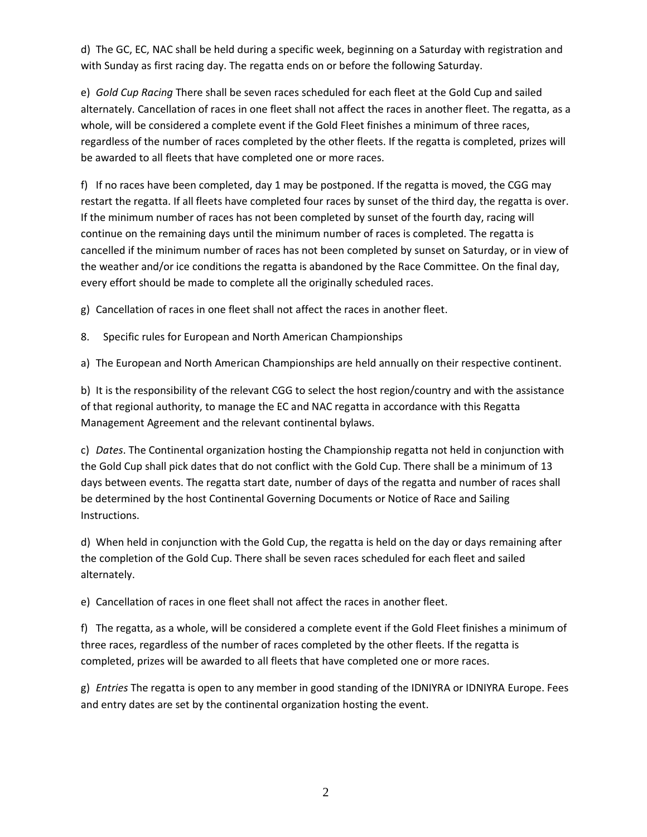d) The GC, EC, NAC shall be held during a specific week, beginning on a Saturday with registration and with Sunday as first racing day. The regatta ends on or before the following Saturday.

e) *Gold Cup Racing* There shall be seven races scheduled for each fleet at the Gold Cup and sailed alternately. Cancellation of races in one fleet shall not affect the races in another fleet. The regatta, as a whole, will be considered a complete event if the Gold Fleet finishes a minimum of three races, regardless of the number of races completed by the other fleets. If the regatta is completed, prizes will be awarded to all fleets that have completed one or more races.

f) If no races have been completed, day 1 may be postponed. If the regatta is moved, the CGG may restart the regatta. If all fleets have completed four races by sunset of the third day, the regatta is over. If the minimum number of races has not been completed by sunset of the fourth day, racing will continue on the remaining days until the minimum number of races is completed. The regatta is cancelled if the minimum number of races has not been completed by sunset on Saturday, or in view of the weather and/or ice conditions the regatta is abandoned by the Race Committee. On the final day, every effort should be made to complete all the originally scheduled races.

g) Cancellation of races in one fleet shall not affect the races in another fleet.

8. Specific rules for European and North American Championships

a) The European and North American Championships are held annually on their respective continent.

b) It is the responsibility of the relevant CGG to select the host region/country and with the assistance of that regional authority, to manage the EC and NAC regatta in accordance with this Regatta Management Agreement and the relevant continental bylaws.

c) *Dates*. The Continental organization hosting the Championship regatta not held in conjunction with the Gold Cup shall pick dates that do not conflict with the Gold Cup. There shall be a minimum of 13 days between events. The regatta start date, number of days of the regatta and number of races shall be determined by the host Continental Governing Documents or Notice of Race and Sailing Instructions.

d) When held in conjunction with the Gold Cup, the regatta is held on the day or days remaining after the completion of the Gold Cup. There shall be seven races scheduled for each fleet and sailed alternately.

e) Cancellation of races in one fleet shall not affect the races in another fleet.

f) The regatta, as a whole, will be considered a complete event if the Gold Fleet finishes a minimum of three races, regardless of the number of races completed by the other fleets. If the regatta is completed, prizes will be awarded to all fleets that have completed one or more races.

g) *Entries* The regatta is open to any member in good standing of the IDNIYRA or IDNIYRA Europe. Fees and entry dates are set by the continental organization hosting the event.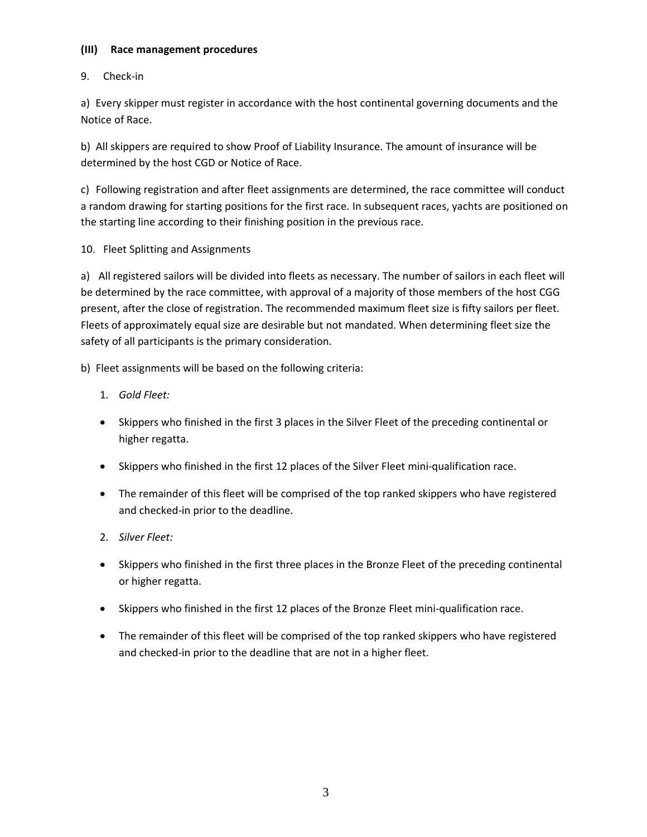### **(III) Race management procedures**

# 9. Check-in

a) Every skipper must register in accordance with the host continental governing documents and the Notice of Race.

b) All skippers are required to show Proof of Liability Insurance. The amount of insurance will be determined by the host CGD or Notice of Race.

c) Following registration and after fleet assignments are determined, the race committee will conduct a random drawing for starting positions for the first race. In subsequent races, yachts are positioned on the starting line according to their finishing position in the previous race.

## 10. Fleet Splitting and Assignments

a) All registered sailors will be divided into fleets as necessary. The number of sailors in each fleet will be determined by the race committee, with approval of a majority of those members of the host CGG present, after the close of registration. The recommended maximum fleet size is fifty sailors per fleet. Fleets of approximately equal size are desirable but not mandated. When determining fleet size the safety of all participants is the primary consideration.

b) Fleet assignments will be based on the following criteria:

## 1. *Gold Fleet:*

- Skippers who finished in the first 3 places in the Silver Fleet of the preceding continental or higher regatta.
- Skippers who finished in the first 12 places of the Silver Fleet mini-qualification race.
- The remainder of this fleet will be comprised of the top ranked skippers who have registered and checked-in prior to the deadline.

## 2. *Silver Fleet:*

- Skippers who finished in the first three places in the Bronze Fleet of the preceding continental or higher regatta.
- Skippers who finished in the first 12 places of the Bronze Fleet mini-qualification race.
- The remainder of this fleet will be comprised of the top ranked skippers who have registered and checked-in prior to the deadline that are not in a higher fleet.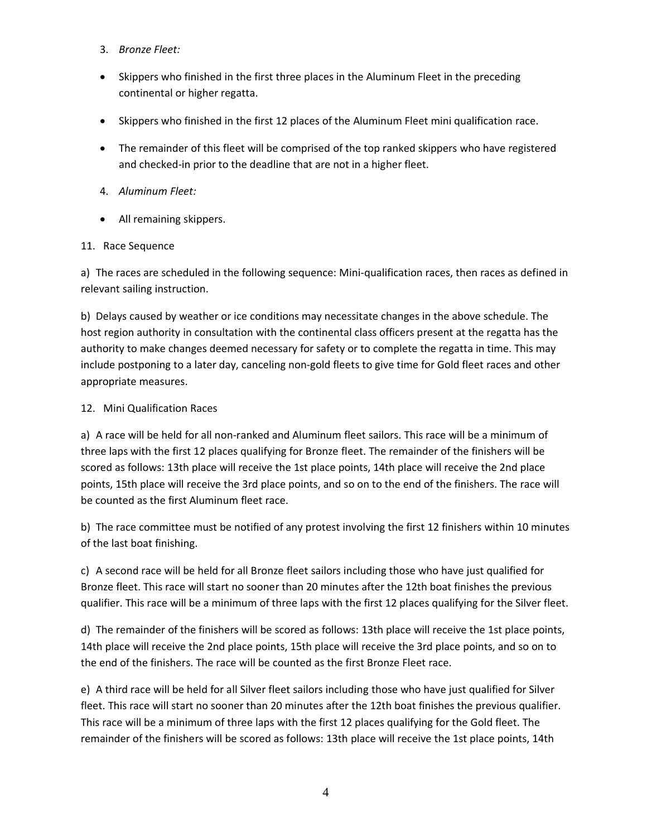- 3. *Bronze Fleet:*
- Skippers who finished in the first three places in the Aluminum Fleet in the preceding continental or higher regatta.
- Skippers who finished in the first 12 places of the Aluminum Fleet mini qualification race.
- The remainder of this fleet will be comprised of the top ranked skippers who have registered and checked-in prior to the deadline that are not in a higher fleet.
- 4. *Aluminum Fleet:*
- All remaining skippers.

### 11. Race Sequence

a) The races are scheduled in the following sequence: Mini-qualification races, then races as defined in relevant sailing instruction.

b) Delays caused by weather or ice conditions may necessitate changes in the above schedule. The host region authority in consultation with the continental class officers present at the regatta has the authority to make changes deemed necessary for safety or to complete the regatta in time. This may include postponing to a later day, canceling non-gold fleets to give time for Gold fleet races and other appropriate measures.

### 12. Mini Qualification Races

a) A race will be held for all non-ranked and Aluminum fleet sailors. This race will be a minimum of three laps with the first 12 places qualifying for Bronze fleet. The remainder of the finishers will be scored as follows: 13th place will receive the 1st place points, 14th place will receive the 2nd place points, 15th place will receive the 3rd place points, and so on to the end of the finishers. The race will be counted as the first Aluminum fleet race.

b) The race committee must be notified of any protest involving the first 12 finishers within 10 minutes of the last boat finishing.

c) A second race will be held for all Bronze fleet sailors including those who have just qualified for Bronze fleet. This race will start no sooner than 20 minutes after the 12th boat finishes the previous qualifier. This race will be a minimum of three laps with the first 12 places qualifying for the Silver fleet.

d) The remainder of the finishers will be scored as follows: 13th place will receive the 1st place points, 14th place will receive the 2nd place points, 15th place will receive the 3rd place points, and so on to the end of the finishers. The race will be counted as the first Bronze Fleet race.

e) A third race will be held for all Silver fleet sailors including those who have just qualified for Silver fleet. This race will start no sooner than 20 minutes after the 12th boat finishes the previous qualifier. This race will be a minimum of three laps with the first 12 places qualifying for the Gold fleet. The remainder of the finishers will be scored as follows: 13th place will receive the 1st place points, 14th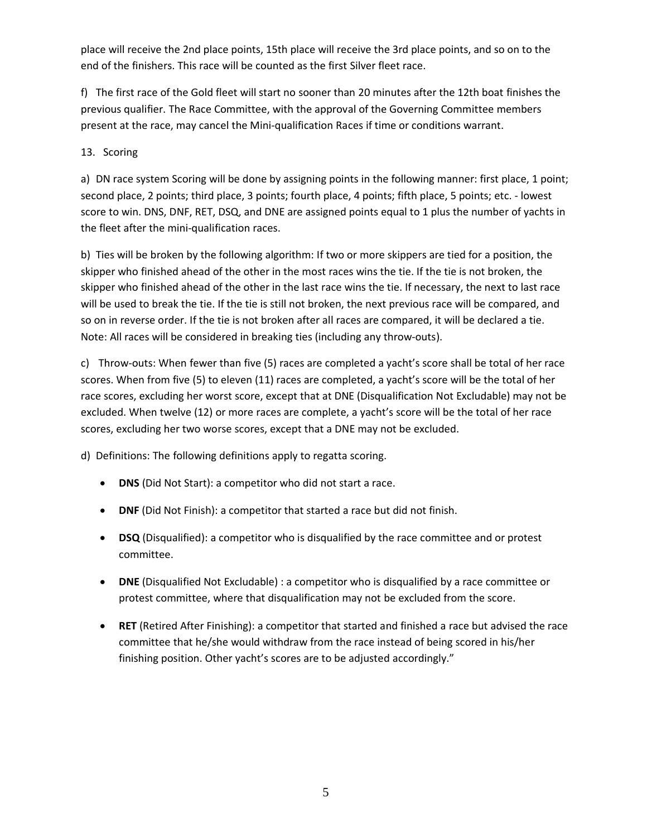place will receive the 2nd place points, 15th place will receive the 3rd place points, and so on to the end of the finishers. This race will be counted as the first Silver fleet race.

f) The first race of the Gold fleet will start no sooner than 20 minutes after the 12th boat finishes the previous qualifier. The Race Committee, with the approval of the Governing Committee members present at the race, may cancel the Mini-qualification Races if time or conditions warrant.

## 13. Scoring

a) DN race system Scoring will be done by assigning points in the following manner: first place, 1 point; second place, 2 points; third place, 3 points; fourth place, 4 points; fifth place, 5 points; etc. - lowest score to win. DNS, DNF, RET, DSQ, and DNE are assigned points equal to 1 plus the number of yachts in the fleet after the mini-qualification races.

b) Ties will be broken by the following algorithm: If two or more skippers are tied for a position, the skipper who finished ahead of the other in the most races wins the tie. If the tie is not broken, the skipper who finished ahead of the other in the last race wins the tie. If necessary, the next to last race will be used to break the tie. If the tie is still not broken, the next previous race will be compared, and so on in reverse order. If the tie is not broken after all races are compared, it will be declared a tie. Note: All races will be considered in breaking ties (including any throw-outs).

c) Throw-outs: When fewer than five (5) races are completed a yacht's score shall be total of her race scores. When from five (5) to eleven (11) races are completed, a yacht's score will be the total of her race scores, excluding her worst score, except that at DNE (Disqualification Not Excludable) may not be excluded. When twelve (12) or more races are complete, a yacht's score will be the total of her race scores, excluding her two worse scores, except that a DNE may not be excluded.

d) Definitions: The following definitions apply to regatta scoring.

- **DNS** (Did Not Start): a competitor who did not start a race.
- **DNF** (Did Not Finish): a competitor that started a race but did not finish.
- **DSQ** (Disqualified): a competitor who is disqualified by the race committee and or protest committee.
- **DNE** (Disqualified Not Excludable) : a competitor who is disqualified by a race committee or protest committee, where that disqualification may not be excluded from the score.
- **RET** (Retired After Finishing): a competitor that started and finished a race but advised the race committee that he/she would withdraw from the race instead of being scored in his/her finishing position. Other yacht's scores are to be adjusted accordingly."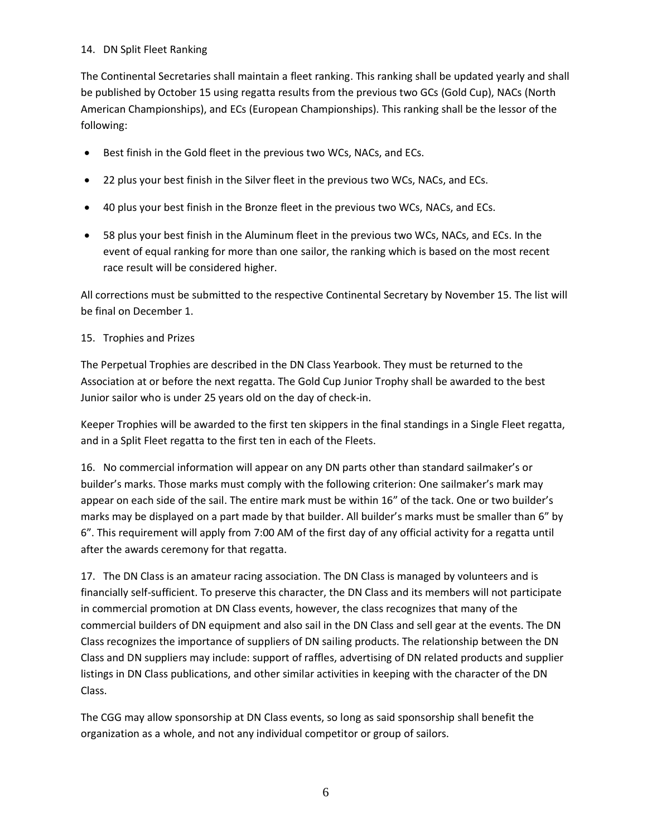### 14. DN Split Fleet Ranking

The Continental Secretaries shall maintain a fleet ranking. This ranking shall be updated yearly and shall be published by October 15 using regatta results from the previous two GCs (Gold Cup), NACs (North American Championships), and ECs (European Championships). This ranking shall be the lessor of the following:

- Best finish in the Gold fleet in the previous two WCs, NACs, and ECs.
- 22 plus your best finish in the Silver fleet in the previous two WCs, NACs, and ECs.
- 40 plus your best finish in the Bronze fleet in the previous two WCs, NACs, and ECs.
- 58 plus your best finish in the Aluminum fleet in the previous two WCs, NACs, and ECs. In the event of equal ranking for more than one sailor, the ranking which is based on the most recent race result will be considered higher.

All corrections must be submitted to the respective Continental Secretary by November 15. The list will be final on December 1.

#### 15. Trophies and Prizes

The Perpetual Trophies are described in the DN Class Yearbook. They must be returned to the Association at or before the next regatta. The Gold Cup Junior Trophy shall be awarded to the best Junior sailor who is under 25 years old on the day of check-in.

Keeper Trophies will be awarded to the first ten skippers in the final standings in a Single Fleet regatta, and in a Split Fleet regatta to the first ten in each of the Fleets.

16. No commercial information will appear on any DN parts other than standard sailmaker's or builder's marks. Those marks must comply with the following criterion: One sailmaker's mark may appear on each side of the sail. The entire mark must be within 16" of the tack. One or two builder's marks may be displayed on a part made by that builder. All builder's marks must be smaller than 6" by 6". This requirement will apply from 7:00 AM of the first day of any official activity for a regatta until after the awards ceremony for that regatta.

17. The DN Class is an amateur racing association. The DN Class is managed by volunteers and is financially self-sufficient. To preserve this character, the DN Class and its members will not participate in commercial promotion at DN Class events, however, the class recognizes that many of the commercial builders of DN equipment and also sail in the DN Class and sell gear at the events. The DN Class recognizes the importance of suppliers of DN sailing products. The relationship between the DN Class and DN suppliers may include: support of raffles, advertising of DN related products and supplier listings in DN Class publications, and other similar activities in keeping with the character of the DN Class.

The CGG may allow sponsorship at DN Class events, so long as said sponsorship shall benefit the organization as a whole, and not any individual competitor or group of sailors.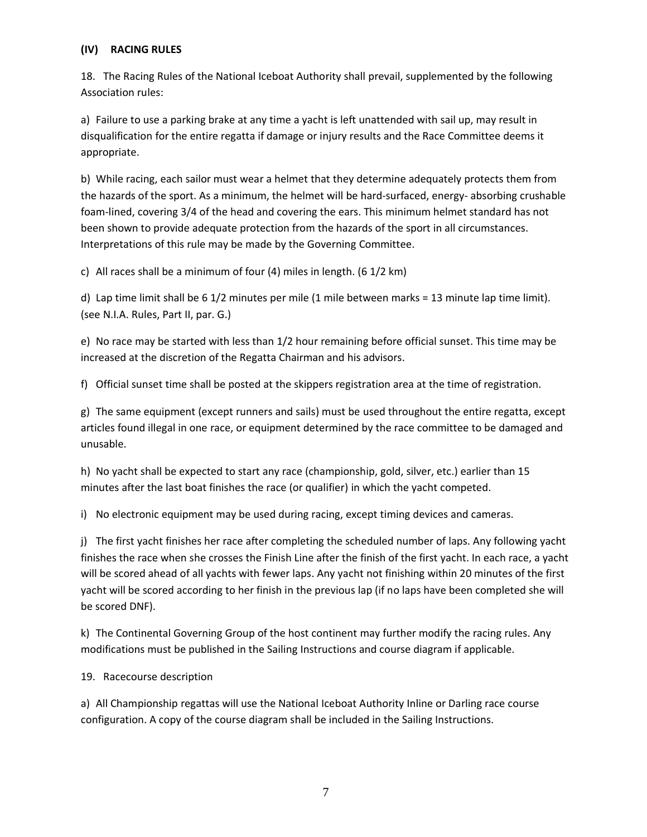### **(IV) RACING RULES**

18. The Racing Rules of the National Iceboat Authority shall prevail, supplemented by the following Association rules:

a) Failure to use a parking brake at any time a yacht is left unattended with sail up, may result in disqualification for the entire regatta if damage or injury results and the Race Committee deems it appropriate.

b) While racing, each sailor must wear a helmet that they determine adequately protects them from the hazards of the sport. As a minimum, the helmet will be hard-surfaced, energy- absorbing crushable foam-lined, covering 3/4 of the head and covering the ears. This minimum helmet standard has not been shown to provide adequate protection from the hazards of the sport in all circumstances. Interpretations of this rule may be made by the Governing Committee.

c) All races shall be a minimum of four (4) miles in length. (6 1/2 km)

d) Lap time limit shall be 6 1/2 minutes per mile (1 mile between marks = 13 minute lap time limit). (see N.I.A. Rules, Part II, par. G.)

e) No race may be started with less than 1/2 hour remaining before official sunset. This time may be increased at the discretion of the Regatta Chairman and his advisors.

f) Official sunset time shall be posted at the skippers registration area at the time of registration.

g) The same equipment (except runners and sails) must be used throughout the entire regatta, except articles found illegal in one race, or equipment determined by the race committee to be damaged and unusable.

h) No yacht shall be expected to start any race (championship, gold, silver, etc.) earlier than 15 minutes after the last boat finishes the race (or qualifier) in which the yacht competed.

i) No electronic equipment may be used during racing, except timing devices and cameras.

j) The first yacht finishes her race after completing the scheduled number of laps. Any following yacht finishes the race when she crosses the Finish Line after the finish of the first yacht. In each race, a yacht will be scored ahead of all yachts with fewer laps. Any yacht not finishing within 20 minutes of the first yacht will be scored according to her finish in the previous lap (if no laps have been completed she will be scored DNF).

k) The Continental Governing Group of the host continent may further modify the racing rules. Any modifications must be published in the Sailing Instructions and course diagram if applicable.

19. Racecourse description

a) All Championship regattas will use the National Iceboat Authority Inline or Darling race course configuration. A copy of the course diagram shall be included in the Sailing Instructions.